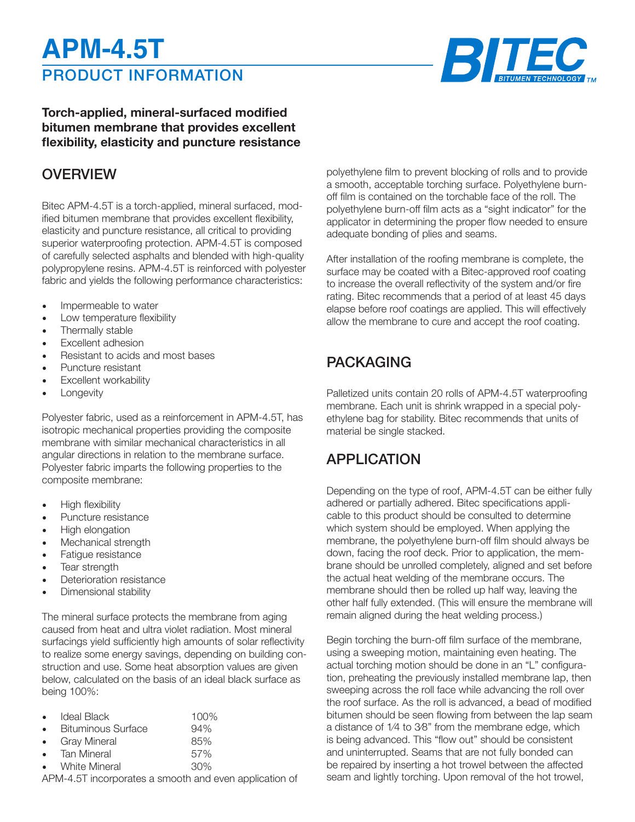# PRODUCT INFORMATION **APM-4.5T**



### **Torch-applied, mineral-surfaced modified bitumen membrane that provides excellent flexibility, elasticity and puncture resistance**

### **OVERVIEW**

Bitec APM-4.5T is a torch-applied, mineral surfaced, modified bitumen membrane that provides excellent flexibility, elasticity and puncture resistance, all critical to providing superior waterproofing protection. APM-4.5T is composed of carefully selected asphalts and blended with high-quality polypropylene resins. APM-4.5T is reinforced with polyester fabric and yields the following performance characteristics:

- Impermeable to water
- Low temperature flexibility
- Thermally stable
- Excellent adhesion
- Resistant to acids and most bases
- Puncture resistant
- **Excellent workability**
- **Longevity**

Polyester fabric, used as a reinforcement in APM-4.5T, has isotropic mechanical properties providing the composite membrane with similar mechanical characteristics in all angular directions in relation to the membrane surface. Polyester fabric imparts the following properties to the composite membrane:

- High flexibility
- Puncture resistance
- High elongation
- Mechanical strength
- Fatigue resistance
- Tear strength
- Deterioration resistance
- Dimensional stability

The mineral surface protects the membrane from aging caused from heat and ultra violet radiation. Most mineral surfacings yield sufficiently high amounts of solar reflectivity to realize some energy savings, depending on building construction and use. Some heat absorption values are given below, calculated on the basis of an ideal black surface as being 100%:

|           | Ideal Black               | 100% |  |
|-----------|---------------------------|------|--|
|           | <b>Bituminous Surface</b> | 94%  |  |
| $\bullet$ | <b>Gray Mineral</b>       | 85%  |  |
| $\bullet$ | <b>Tan Mineral</b>        | 57%  |  |
|           | <b>White Mineral</b>      | 30%  |  |
|           |                           |      |  |

APM-4.5T incorporates a smooth and even application of

polyethylene film to prevent blocking of rolls and to provide a smooth, acceptable torching surface. Polyethylene burnoff film is contained on the torchable face of the roll. The polyethylene burn-off film acts as a "sight indicator" for the applicator in determining the proper flow needed to ensure adequate bonding of plies and seams.

After installation of the roofing membrane is complete, the surface may be coated with a Bitec-approved roof coating to increase the overall reflectivity of the system and/or fire rating. Bitec recommends that a period of at least 45 days elapse before roof coatings are applied. This will effectively allow the membrane to cure and accept the roof coating.

# PACKAGING

Palletized units contain 20 rolls of APM-4.5T waterproofing membrane. Each unit is shrink wrapped in a special polyethylene bag for stability. Bitec recommends that units of material be single stacked.

# APPLICATION

Depending on the type of roof, APM-4.5T can be either fully adhered or partially adhered. Bitec specifications applicable to this product should be consulted to determine which system should be employed. When applying the membrane, the polyethylene burn-off film should always be down, facing the roof deck. Prior to application, the membrane should be unrolled completely, aligned and set before the actual heat welding of the membrane occurs. The membrane should then be rolled up half way, leaving the other half fully extended. (This will ensure the membrane will remain aligned during the heat welding process.)

Begin torching the burn-off film surface of the membrane, using a sweeping motion, maintaining even heating. The actual torching motion should be done in an "L" configuration, preheating the previously installed membrane lap, then sweeping across the roll face while advancing the roll over the roof surface. As the roll is advanced, a bead of modified bitumen should be seen flowing from between the lap seam a distance of 1⁄4 to 3⁄8" from the membrane edge, which is being advanced. This "flow out" should be consistent and uninterrupted. Seams that are not fully bonded can be repaired by inserting a hot trowel between the affected seam and lightly torching. Upon removal of the hot trowel,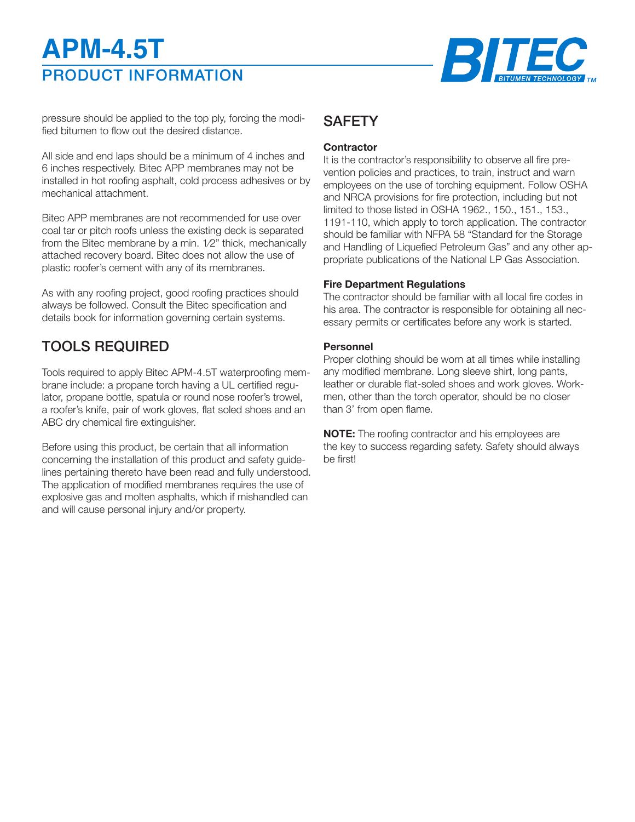# PRODUCT INFORMATION **APM-4.5T**



pressure should be applied to the top ply, forcing the modified bitumen to flow out the desired distance.

All side and end laps should be a minimum of 4 inches and 6 inches respectively. Bitec APP membranes may not be installed in hot roofing asphalt, cold process adhesives or by mechanical attachment.

Bitec APP membranes are not recommended for use over coal tar or pitch roofs unless the existing deck is separated from the Bitec membrane by a min. 1⁄2" thick, mechanically attached recovery board. Bitec does not allow the use of plastic roofer's cement with any of its membranes.

As with any roofing project, good roofing practices should always be followed. Consult the Bitec specification and details book for information governing certain systems.

# TOOLS REQUIRED

Tools required to apply Bitec APM-4.5T waterproofing membrane include: a propane torch having a UL certified regulator, propane bottle, spatula or round nose roofer's trowel, a roofer's knife, pair of work gloves, flat soled shoes and an ABC dry chemical fire extinguisher.

Before using this product, be certain that all information concerning the installation of this product and safety guidelines pertaining thereto have been read and fully understood. The application of modified membranes requires the use of explosive gas and molten asphalts, which if mishandled can and will cause personal injury and/or property.

# **SAFETY**

#### **Contractor**

It is the contractor's responsibility to observe all fire prevention policies and practices, to train, instruct and warn employees on the use of torching equipment. Follow OSHA and NRCA provisions for fire protection, including but not limited to those listed in OSHA 1962., 150., 151., 153., 1191-110, which apply to torch application. The contractor should be familiar with NFPA 58 "Standard for the Storage and Handling of Liquefied Petroleum Gas" and any other appropriate publications of the National LP Gas Association.

#### **Fire Department Regulations**

The contractor should be familiar with all local fire codes in his area. The contractor is responsible for obtaining all necessary permits or certificates before any work is started.

#### **Personnel**

Proper clothing should be worn at all times while installing any modified membrane. Long sleeve shirt, long pants, leather or durable flat-soled shoes and work gloves. Workmen, other than the torch operator, should be no closer than 3' from open flame.

**NOTE:** The roofing contractor and his employees are the key to success regarding safety. Safety should always be first!